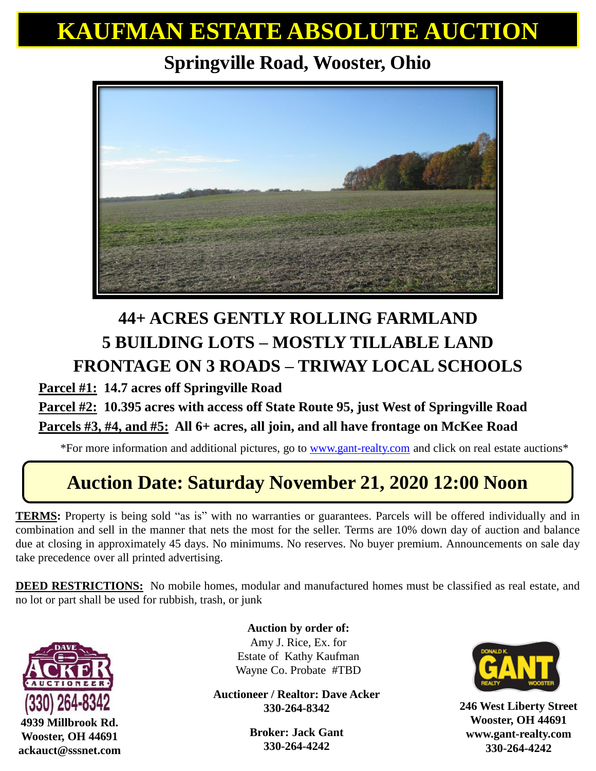# **KAUFMAN ESTATE ABSOLUTE AUCTION**

### **Springville Road, Wooster, Ohio**



## **44+ ACRES GENTLY ROLLING FARMLAND 5 BUILDING LOTS – MOSTLY TILLABLE LAND FRONTAGE ON 3 ROADS – TRIWAY LOCAL SCHOOLS**

**Parcel #1: 14.7 acres off Springville Road**

#### **Parcel #2: 10.395 acres with access off State Route 95, just West of Springville Road Parcels #3, #4, and #5: All 6+ acres, all join, and all have frontage on McKee Road**

\*For more information and additional pictures, go to [www.gant-realty.com](http://www.gant-realty.com/) and click on real estate auctions\*

## **Auction Date: Saturday November 21, 2020 12:00 Noon**

**TERMS:** Property is being sold "as is" with no warranties or guarantees. Parcels will be offered individually and in combination and sell in the manner that nets the most for the seller. Terms are 10% down day of auction and balance due at closing in approximately 45 days. No minimums. No reserves. No buyer premium. Announcements on sale day take precedence over all printed advertising.

**DEED RESTRICTIONS:** No mobile homes, modular and manufactured homes must be classified as real estate, and no lot or part shall be used for rubbish, trash, or junk



**4939 Millbrook Rd. Wooster, OH 44691 ackauct@sssnet.com**

**Auction by order of:** Amy J. Rice, Ex. for Estate of Kathy Kaufman Wayne Co. Probate #TBD

**Auctioneer / Realtor: Dave Acker 330-264-8342**

> **Broker: Jack Gant 330-264-4242**



**246 West Liberty Street Wooster, OH 44691 www.gant-realty.com 330-264-4242**